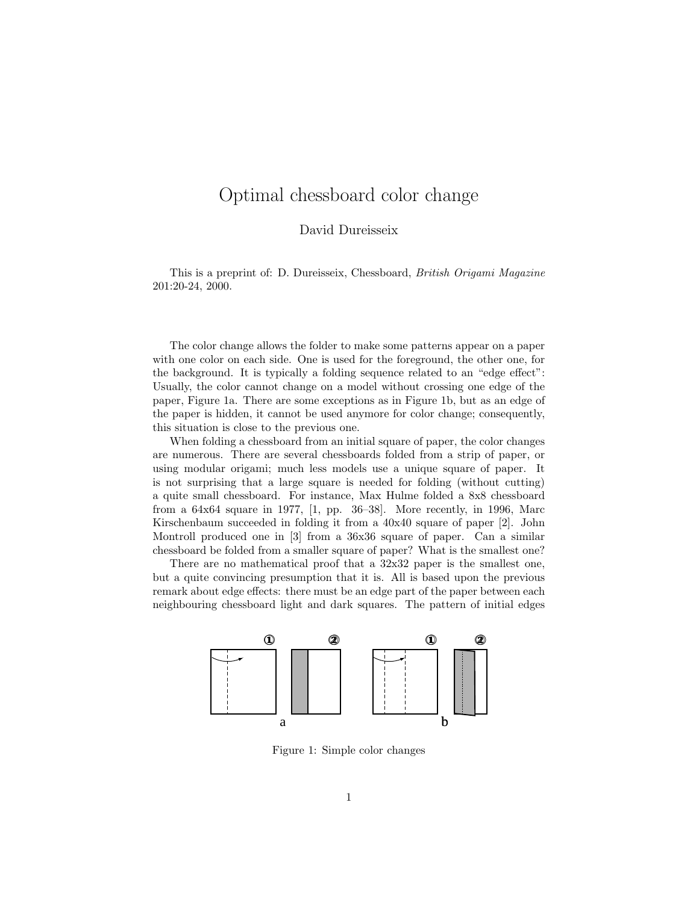## Optimal chessboard color change

David Dureisseix

This is a preprint of: D. Dureisseix, Chessboard, British Origami Magazine 201:20-24, 2000.

The color change allows the folder to make some patterns appear on a paper with one color on each side. One is used for the foreground, the other one, for the background. It is typically a folding sequence related to an "edge effect": Usually, the color cannot change on a model without crossing one edge of the paper, Figure 1a. There are some exceptions as in Figure 1b, but as an edge of the paper is hidden, it cannot be used anymore for color change; consequently, this situation is close to the previous one.

When folding a chessboard from an initial square of paper, the color changes are numerous. There are several chessboards folded from a strip of paper, or using modular origami; much less models use a unique square of paper. It is not surprising that a large square is needed for folding (without cutting) a quite small chessboard. For instance, Max Hulme folded a 8x8 chessboard from a 64x64 square in 1977, [1, pp. 36–38]. More recently, in 1996, Marc Kirschenbaum succeeded in folding it from a 40x40 square of paper [2]. John Montroll produced one in [3] from a 36x36 square of paper. Can a similar chessboard be folded from a smaller square of paper? What is the smallest one?

There are no mathematical proof that a 32x32 paper is the smallest one, but a quite convincing presumption that it is. All is based upon the previous remark about edge effects: there must be an edge part of the paper between each neighbouring chessboard light and dark squares. The pattern of initial edges



Figure 1: Simple color changes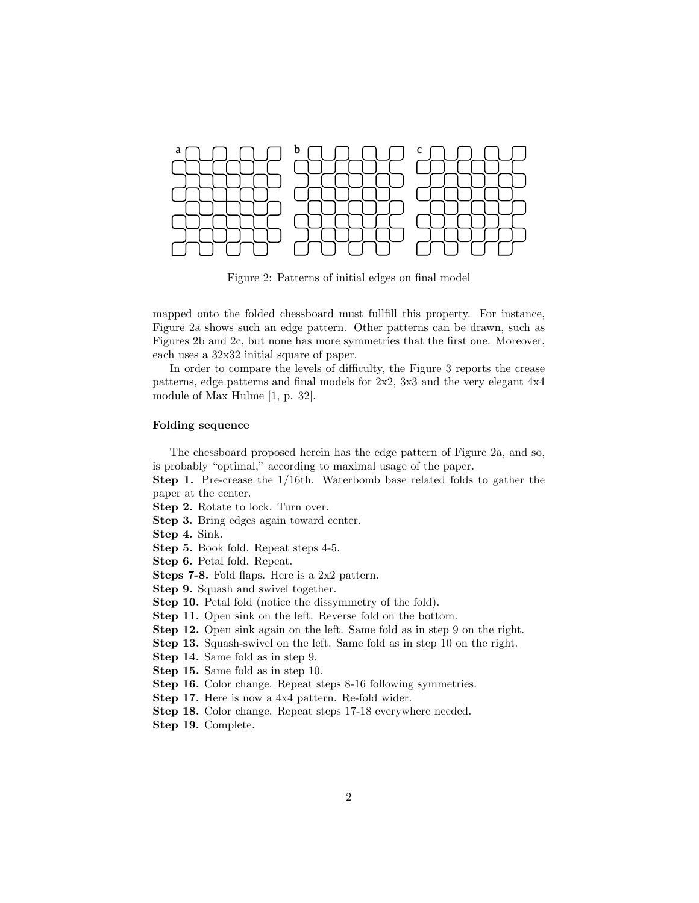

Figure 2: Patterns of initial edges on final model

mapped onto the folded chessboard must fullfill this property. For instance, Figure 2a shows such an edge pattern. Other patterns can be drawn, such as Figures 2b and 2c, but none has more symmetries that the first one. Moreover, each uses a 32x32 initial square of paper.

In order to compare the levels of difficulty, the Figure 3 reports the crease patterns, edge patterns and final models for 2x2, 3x3 and the very elegant 4x4 module of Max Hulme [1, p. 32].

## Folding sequence

The chessboard proposed herein has the edge pattern of Figure 2a, and so, is probably "optimal," according to maximal usage of the paper.

Step 1. Pre-crease the 1/16th. Waterbomb base related folds to gather the paper at the center.

Step 2. Rotate to lock. Turn over.

Step 3. Bring edges again toward center.

Step 4. Sink.

Step 5. Book fold. Repeat steps 4-5.

Step 6. Petal fold. Repeat.

Steps 7-8. Fold flaps. Here is a 2x2 pattern.

Step 9. Squash and swivel together.

Step 10. Petal fold (notice the dissymmetry of the fold).

Step 11. Open sink on the left. Reverse fold on the bottom.

Step 12. Open sink again on the left. Same fold as in step 9 on the right.

Step 13. Squash-swivel on the left. Same fold as in step 10 on the right.

Step 14. Same fold as in step 9.

Step 15. Same fold as in step 10.

Step 16. Color change. Repeat steps 8-16 following symmetries.

Step 17. Here is now a 4x4 pattern. Re-fold wider.

Step 18. Color change. Repeat steps 17-18 everywhere needed.

Step 19. Complete.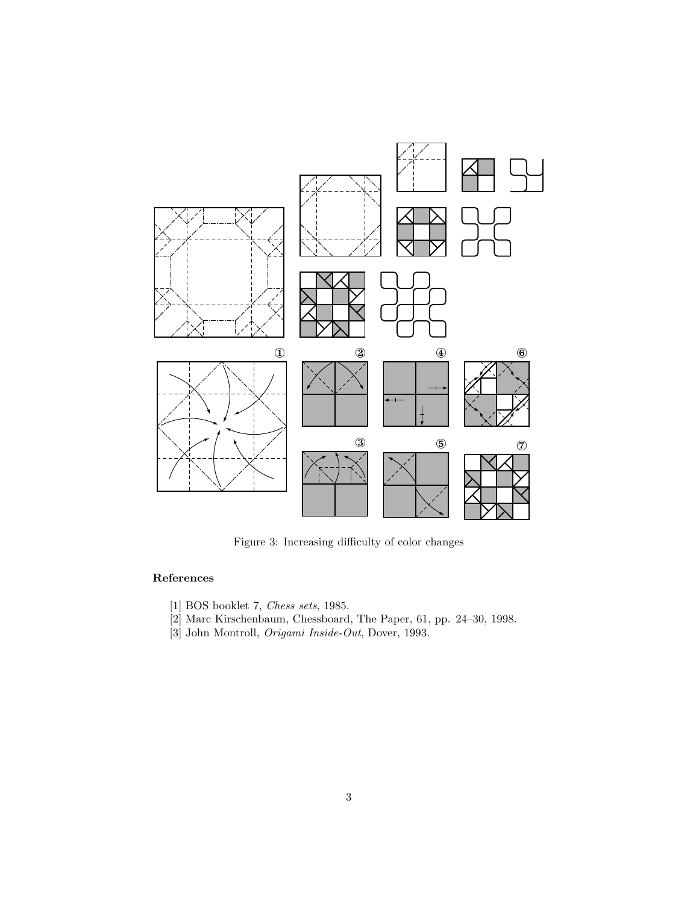

Figure 3: Increasing difficulty of color changes

## References

- [1] BOS booklet 7, Chess sets, 1985.
- [2] Marc Kirschenbaum, Chessboard, The Paper, 61, pp. 24–30, 1998.
- [3] John Montroll, Origami Inside-Out, Dover, 1993.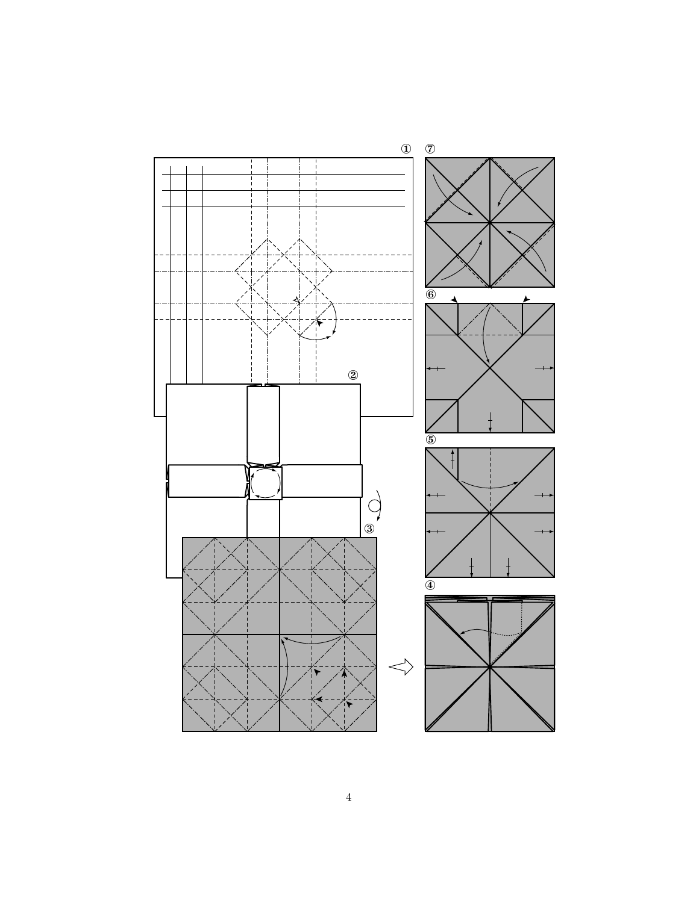